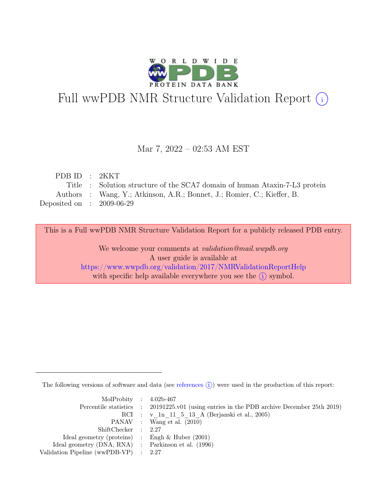

# Full wwPDB NMR Structure Validation Report (i)

## Mar 7, 2022 – 02:53 AM EST

| PDB ID: 2KKT                |                                                                            |
|-----------------------------|----------------------------------------------------------------------------|
|                             | Title : Solution structure of the SCA7 domain of human Ataxin-7-L3 protein |
|                             | Authors : Wang, Y.; Atkinson, A.R.; Bonnet, J.; Romier, C.; Kieffer, B.    |
| Deposited on : $2009-06-29$ |                                                                            |

This is a Full wwPDB NMR Structure Validation Report for a publicly released PDB entry.

We welcome your comments at *validation@mail.wwpdb.org* A user guide is available at <https://www.wwpdb.org/validation/2017/NMRValidationReportHelp> with specific help available everywhere you see the  $(i)$  symbol.

The following versions of software and data (see [references](https://www.wwpdb.org/validation/2017/NMRValidationReportHelp#references)  $\hat{I}$ ) were used in the production of this report:

| MolProbity : $4.02b-467$                            |                                                                                            |
|-----------------------------------------------------|--------------------------------------------------------------------------------------------|
|                                                     | Percentile statistics : 20191225.v01 (using entries in the PDB archive December 25th 2019) |
|                                                     | RCI : v 1n 11 5 13 A (Berjanski et al., 2005)                                              |
|                                                     | PANAV : Wang et al. (2010)                                                                 |
| ShiftChecker : 2.27                                 |                                                                                            |
| Ideal geometry (proteins) : Engh $\&$ Huber (2001)  |                                                                                            |
| Ideal geometry (DNA, RNA) : Parkinson et al. (1996) |                                                                                            |
| Validation Pipeline (wwPDB-VP) : $2.27$             |                                                                                            |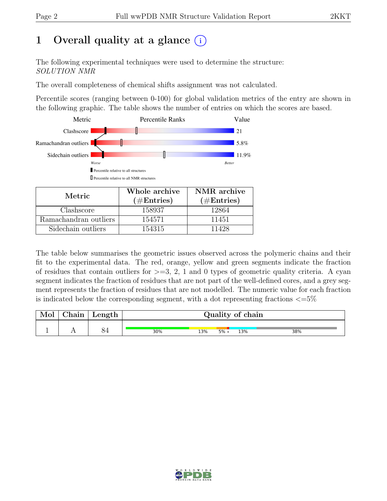# 1 Overall quality at a glance  $(i)$

The following experimental techniques were used to determine the structure: SOLUTION NMR

The overall completeness of chemical shifts assignment was not calculated.

Percentile scores (ranging between 0-100) for global validation metrics of the entry are shown in the following graphic. The table shows the number of entries on which the scores are based.



| Metric.               | Whole archive<br>$(\#Entries)$ | NMR archive<br>$(\#Entries)$ |
|-----------------------|--------------------------------|------------------------------|
| Clashscore            | 158937                         | 12864                        |
| Ramachandran outliers | 154571                         | 11451                        |
| Sidechain outliers    | 154315                         | 11428                        |

The table below summarises the geometric issues observed across the polymeric chains and their fit to the experimental data. The red, orange, yellow and green segments indicate the fraction of residues that contain outliers for  $>=$  3, 2, 1 and 0 types of geometric quality criteria. A cyan segment indicates the fraction of residues that are not part of the well-defined cores, and a grey segment represents the fraction of residues that are not modelled. The numeric value for each fraction is indicated below the corresponding segment, with a dot representing fractions  $\langle=5\%$ 

| Mol | Chain | Length | Quality of chain |     |         |     |     |
|-----|-------|--------|------------------|-----|---------|-----|-----|
|     |       |        | 30%              | 13% | $5\%$ . | 13% | 38% |

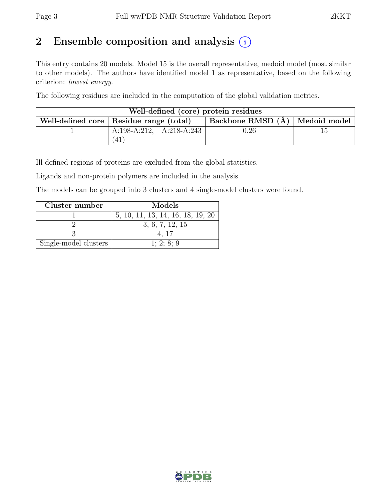# 2 Ensemble composition and analysis  $(i)$

This entry contains 20 models. Model 15 is the overall representative, medoid model (most similar to other models). The authors have identified model 1 as representative, based on the following criterion: lowest energy.

The following residues are included in the computation of the global validation metrics.

| Well-defined (core) protein residues |                                           |                                  |  |  |  |  |  |
|--------------------------------------|-------------------------------------------|----------------------------------|--|--|--|--|--|
|                                      | Well-defined core   Residue range (total) | Backbone RMSD (A)   Medoid model |  |  |  |  |  |
|                                      | A:198-A:212, A:218-A:243                  | $\rm 0.26$                       |  |  |  |  |  |
|                                      | 41                                        |                                  |  |  |  |  |  |

Ill-defined regions of proteins are excluded from the global statistics.

Ligands and non-protein polymers are included in the analysis.

The models can be grouped into 3 clusters and 4 single-model clusters were found.

| Cluster number        | Models                            |  |  |
|-----------------------|-----------------------------------|--|--|
|                       | 5, 10, 11, 13, 14, 16, 18, 19, 20 |  |  |
|                       | 3, 6, 7, 12, 15                   |  |  |
|                       | 4.17                              |  |  |
| Single-model clusters | 1; 2; 8; 9                        |  |  |

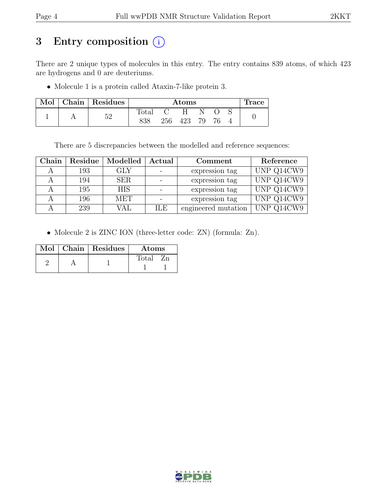# 3 Entry composition (i)

There are 2 unique types of molecules in this entry. The entry contains 839 atoms, of which 423 are hydrogens and 0 are deuteriums.

• Molecule 1 is a protein called Ataxin-7-like protein 3.

|  | Mol   Chain   Residues |                | $\rm{Atoms}$ |     |    | <b>Trace</b> |  |
|--|------------------------|----------------|--------------|-----|----|--------------|--|
|  | κη                     | $_{\rm Total}$ |              | H   |    |              |  |
|  |                        | 838            | 256          | 423 | 79 |              |  |

There are 5 discrepancies between the modelled and reference sequences:

| Chain |     | Residue   Modelled | Actual     | Comment             | Reference  |
|-------|-----|--------------------|------------|---------------------|------------|
|       | 193 | <b>GLY</b>         |            | expression tag      | UNP Q14CW9 |
|       | 194 | <b>SER</b>         |            | expression tag      | UNP Q14CW9 |
|       | 195 | <b>HIS</b>         |            | expression tag      | UNP Q14CW9 |
|       | 196 | MET                |            | expression tag      | UNP Q14CW9 |
|       | 239 | VAL                | <b>ILE</b> | engineered mutation | UNP Q14CW9 |

• Molecule 2 is ZINC ION (three-letter code: ZN) (formula: Zn).

|  | Mol   Chain   Residues<br>Atoms |       |
|--|---------------------------------|-------|
|  |                                 | Total |

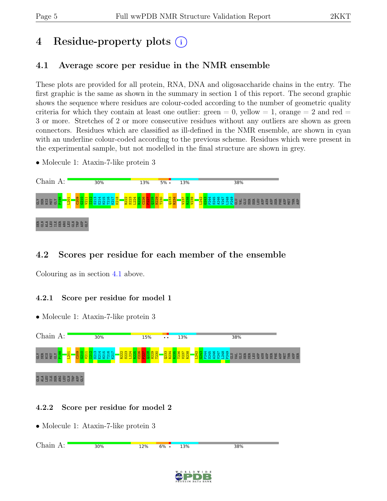SER

# 4 Residue-property plots (i)

# <span id="page-4-0"></span>4.1 Average score per residue in the NMR ensemble

These plots are provided for all protein, RNA, DNA and oligosaccharide chains in the entry. The first graphic is the same as shown in the summary in section 1 of this report. The second graphic shows the sequence where residues are colour-coded according to the number of geometric quality criteria for which they contain at least one outlier:  $green = 0$ ,  $yellow = 1$ ,  $orange = 2$  and  $red =$ 3 or more. Stretches of 2 or more consecutive residues without any outliers are shown as green connectors. Residues which are classified as ill-defined in the NMR ensemble, are shown in cyan with an underline colour-coded according to the previous scheme. Residues which were present in the experimental sample, but not modelled in the final structure are shown in grey.

• Molecule 1: Ataxin-7-like protein 3



# 4.2 Scores per residue for each member of the ensemble

Colouring as in section [4.1](#page-4-0) above.

# 4.2.1 Score per residue for model 1

• Molecule 1: Ataxin-7-like protein 3 Chain A: 30% 15% 13% 38% .<br>G 떲 땁 덜 더 <mark>요</mark><br>G 떲 덮 덜 더 <mark>요</mark>  $\frac{80}{20}$  $\frac{20}{2}$ I212 S213 E214 H215 T216 K217 R222 S223 L224 R225  $\frac{26}{2}$  $\frac{27}{2}$  $\frac{28}{2}$ H229 T230  $\mathbb{R}^3$ R234 R235 T236 V237 R238 L242 G243 P244 S245 A246 V247 ន<br>ទី ទី ១ ២ ២ ២ ២ ២ ២ ២ ២ ២ ២ ២ ២ ២ ២<br>ក្នុង ២ ២ ២ ២ ២ ២ ២ ២ ២ ២ ២ ២ ២ ២ ២ ២ ២ ២ L201 V211 <u>a</u> arakasan ASP GLY

# 4.2.2 Score per residue for model 2

| $\bigcap$ | 30%  | 12% | 6% | 3%<br><u>. .</u> | 38% |
|-----------|------|-----|----|------------------|-----|
|           | ---- |     |    | -- - -           |     |
|           |      |     |    |                  |     |
|           |      |     |    |                  |     |

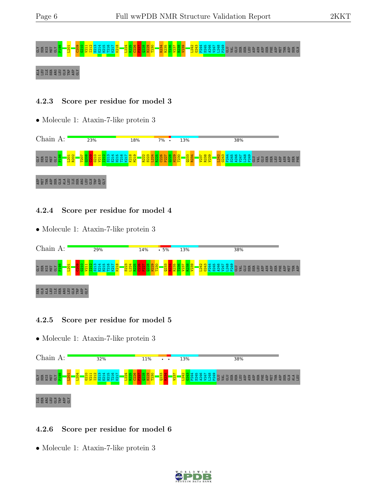# e de de la <mark>sua de la constru</mark>sion de la construction de la construction de la construction de la construction de la construction de la construction de la construction de la construction de la construction de la constructi

#### EBER SER SER SER

#### 4.2.3 Score per residue for model 3

• Molecule 1: Ataxin-7-like protein 3



#### 4.2.4 Score per residue for model 4

• Molecule 1: Ataxin-7-like protein 3



## 4.2.5 Score per residue for model 5

• Molecule 1: Ataxin-7-like protein 3



## 4.2.6 Score per residue for model 6

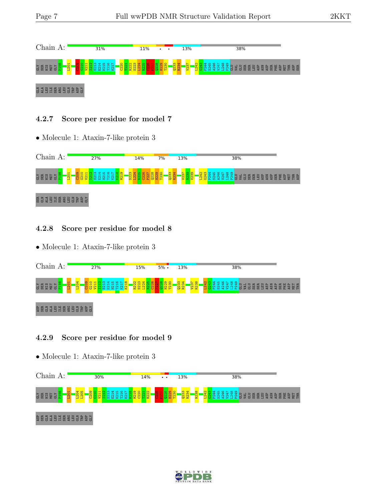

#### 4.2.7 Score per residue for model 7

• Molecule 1: Ataxin-7-like protein 3



## 4.2.8 Score per residue for model 8

• Molecule 1: Ataxin-7-like protein 3



#### 4.2.9 Score per residue for model 9

• Molecule 1: Ataxin-7-like protein 3



## as<br>Serie En Sand Bas

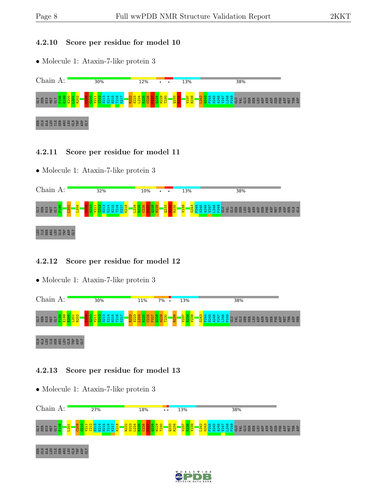#### 4.2.10 Score per residue for model 10

• Molecule 1: Ataxin-7-like protein 3



#### 4.2.11 Score per residue for model 11

• Molecule 1: Ataxin-7-like protein 3



## 4.2.12 Score per residue for model 12

• Molecule 1: Ataxin-7-like protein 3



## 4.2.13 Score per residue for model 13



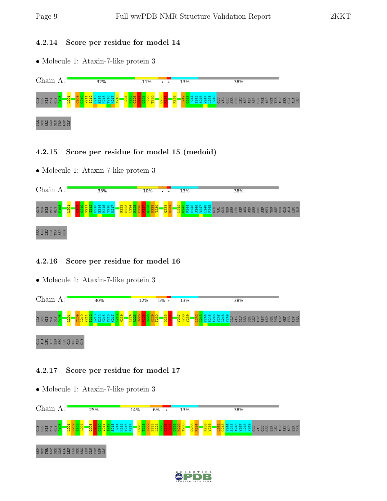#### 4.2.14 Score per residue for model 14

• Molecule 1: Ataxin-7-like protein 3



#### 4.2.15 Score per residue for model 15 (medoid)

• Molecule 1: Ataxin-7-like protein 3



## 4.2.16 Score per residue for model 16

• Molecule 1: Ataxin-7-like protein 3



## 4.2.17 Score per residue for model 17



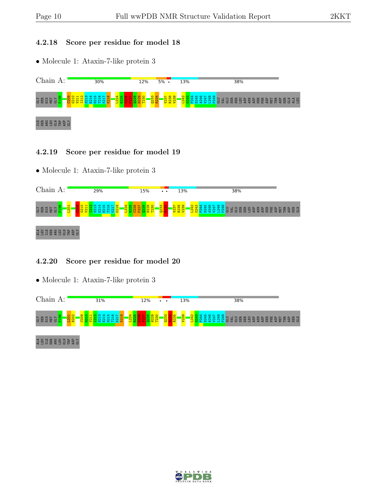#### 4.2.18 Score per residue for model 18

• Molecule 1: Ataxin-7-like protein 3



#### 4.2.19 Score per residue for model 19

• Molecule 1: Ataxin-7-like protein 3



## 4.2.20 Score per residue for model 20



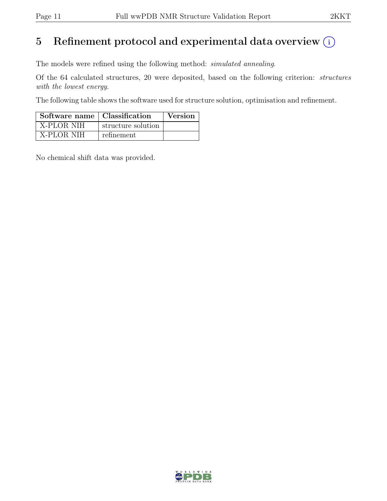# 5 Refinement protocol and experimental data overview  $(i)$

The models were refined using the following method: simulated annealing.

Of the 64 calculated structures, 20 were deposited, based on the following criterion: structures with the lowest energy.

The following table shows the software used for structure solution, optimisation and refinement.

| Software name   Classification |                    | Version |
|--------------------------------|--------------------|---------|
| <b>X-PLOR NIH</b>              | structure solution |         |
| X-PLOR NIH                     | refinement         |         |

No chemical shift data was provided.

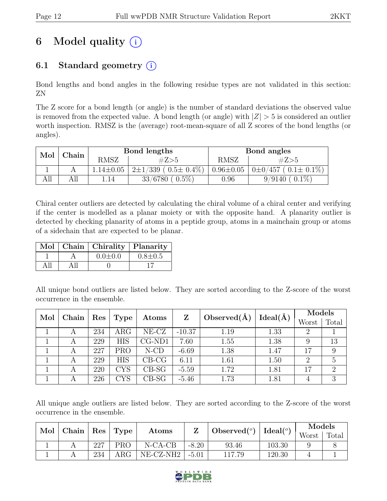# 6 Model quality  $(i)$

# 6.1 Standard geometry  $(i)$

Bond lengths and bond angles in the following residue types are not validated in this section: ZN

The Z score for a bond length (or angle) is the number of standard deviations the observed value is removed from the expected value. A bond length (or angle) with  $|Z| > 5$  is considered an outlier worth inspection. RMSZ is the (average) root-mean-square of all Z scores of the bond lengths (or angles).

| Mol<br>Chain |     |                 | Bond lengths                  | Bond angles     |                               |  |
|--------------|-----|-----------------|-------------------------------|-----------------|-------------------------------|--|
|              |     | <b>RMSZ</b>     | #Z>5                          | RMSZ            | #Z>5                          |  |
|              |     | $1.14 \pm 0.05$ | $2\pm1/339$ ( $0.5\pm0.4\%$ ) | $0.96 \pm 0.05$ | $0\pm0/457$ ( $0.1\pm0.1\%$ ) |  |
| AП           | All | 1.14            | $0.5\%$<br>33/6780            | ${0.96}$        | $0.1\%$<br>9/9140             |  |

Chiral center outliers are detected by calculating the chiral volume of a chiral center and verifying if the center is modelled as a planar moiety or with the opposite hand. A planarity outlier is detected by checking planarity of atoms in a peptide group, atoms in a mainchain group or atoms of a sidechain that are expected to be planar.

|  | Mol   Chain   Chirality   Planarity |               |
|--|-------------------------------------|---------------|
|  | $0.0 \pm 0.0$                       | $0.8 \pm 0.5$ |
|  |                                     |               |

All unique bond outliers are listed below. They are sorted according to the Z-score of the worst occurrence in the ensemble.

| Mol | Chain | Res | Type       | Atoms    |          | Observed $(\AA)$ | Ideal(A)<br>Z |       | Models |  |
|-----|-------|-----|------------|----------|----------|------------------|---------------|-------|--------|--|
|     |       |     |            |          |          |                  |               | Worst | Total  |  |
|     | А     | 234 | $\rm{ARG}$ | $NE-CZ$  | $-10.37$ | 1.19             | 1.33          |       |        |  |
|     | A     | 229 | <b>HIS</b> | $CG-ND1$ | 7.60     | 1.55             | 1.38          |       | 13     |  |
|     | А     | 227 | <b>PRO</b> | $N$ -CD  | $-6.69$  | 1.38             | 1.47          | 17    | 9      |  |
|     | A     | 229 | <b>HIS</b> | $CB-CG$  | 6.11     | 1.61             | 1.50          | 2     |        |  |
|     | A     | 220 | CYS        | $CB-SG$  | $-5.59$  | 1.72             | 1.81          | 17    | 2      |  |
|     | A     | 226 | CYS        | $CB-SG$  | $-5.46$  | 1.73             | 1.81          |       | 3      |  |

All unique angle outliers are listed below. They are sorted according to the Z-score of the worst occurrence in the ensemble.

| Mol | $ $ Chain $ $ | $ $ Res $ $ Type |            | Ideal $(°)$<br>Observed $(°)$<br>Atoms |         | Models |        |       |       |
|-----|---------------|------------------|------------|----------------------------------------|---------|--------|--------|-------|-------|
|     |               |                  |            |                                        |         |        |        | Worst | Total |
|     |               | 227              | PRO        | $N-CA-CB$                              | $-8.20$ | 93.46  | 103.30 |       |       |
|     |               | 234              | $\rm{ARG}$ | NE-CZ-NH2                              | $-5.01$ | 117.79 | 120.30 |       |       |

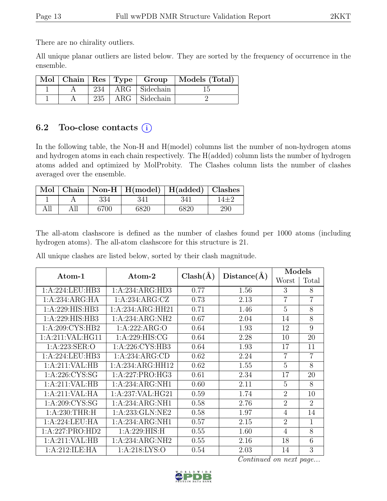There are no chirality outliers.

All unique planar outliers are listed below. They are sorted by the frequency of occurrence in the ensemble.

|  |  |                         | Mol   Chain   Res   Type   Group   Models (Total) |
|--|--|-------------------------|---------------------------------------------------|
|  |  | 234   ARG   Sidechain   |                                                   |
|  |  | $235$   ARG   Sidechain |                                                   |

# 6.2 Too-close contacts  $(i)$

In the following table, the Non-H and H(model) columns list the number of non-hydrogen atoms and hydrogen atoms in each chain respectively. The H(added) column lists the number of hydrogen atoms added and optimized by MolProbity. The Clashes column lists the number of clashes averaged over the ensemble.

|     |      | Mol   Chain   Non-H   H(model)   H(added)   Clashes |      |     |
|-----|------|-----------------------------------------------------|------|-----|
|     | 334  | 341                                                 | 341  |     |
| All | 6700 | 6820                                                | 6820 | 290 |

The all-atom clashscore is defined as the number of clashes found per 1000 atoms (including hydrogen atoms). The all-atom clashscore for this structure is 21.

All unique clashes are listed below, sorted by their clash magnitude.

| Atom-1            | Atom-2            | $Clash(\AA)$ | Distance(A) | Models         |                |
|-------------------|-------------------|--------------|-------------|----------------|----------------|
|                   |                   |              |             | Worst          | Total          |
| 1:A:224:LEU:HB3   | 1:A:234:ARG:HD3   | 0.77         | 1.56        | 3              | 8              |
| 1:A:234:ARG:HA    | 1:A:234:ARG:CZ    | 0.73         | 2.13        | $\overline{7}$ | $\overline{7}$ |
| 1:A:229:HIS:HB3   | 1:A:234:ARG:HH21  | 0.71         | 1.46        | 5              | 8              |
| 1:A:229:HIS:HB3   | 1:A:234:ARG:NH2   | 0.67         | 2.04        | 14             | 8              |
| 1: A:209: CYS:HB2 | 1:A:222:ARG:O     | 0.64         | 1.93        | 12             | 9              |
| 1:A:211:VAL:HG11  | 1: A:229: HIS: CG | 0.64         | 2.28        | 10             | 20             |
| 1: A:223: SER:O   | 1: A:226: CYS:HB3 | 0.64         | 1.93        | 17             | 11             |
| 1:A:224:LEU:HB3   | 1:A:234:ARG:CD    | 0.62         | 2.24        | $\overline{7}$ | $\overline{7}$ |
| 1: A:211: VAL:HB  | 1:A:234:ARG:HH12  | 0.62         | 1.55        | 5              | 8              |
| 1: A:226: CYS:SG  | 1:A:227:PRO:HG3   | 0.61         | 2.34        | 17             | 20             |
| 1:A:211:VAL:HB    | 1:A:234:ARG:NH1   | 0.60         | 2.11        | $\overline{5}$ | 8              |
| 1:A:211:VAL:HA    | 1:A:237:VAL:HG21  | 0.59         | 1.74        | $\overline{2}$ | 10             |
| 1: A:209: CYS:SG  | 1:A:234:ARG:NH1   | 0.58         | 2.76        | $\overline{2}$ | $\overline{2}$ |
| 1: A:230:THR:H    | 1:A:233:GLN:NE2   | 0.58         | 1.97        | 4              | 14             |
| 1:A:224:LEU:HA    | 1:A:234:ARG:NH1   | 0.57         | 2.15        | $\overline{2}$ | $\overline{1}$ |
| 1:A:227:PRO:HD2   | 1: A:229: HIS:H   | 0.55         | 1.60        | 4              | 8              |
| 1:A:211:VAL:HB    | 1:A:234:ARG:NH2   | 0.55         | 2.16        | 18             | 6              |
| 1:A:212:ILE:HA    | 1: A:218: LYS:O   | 0.54         | 2.03        | 14             | 3              |

Continued on next page...

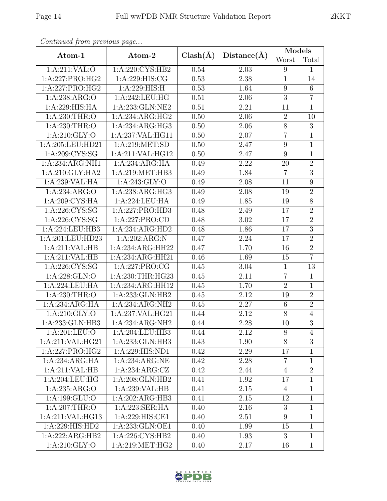| Continuea from previous page |                    |              |                   | Models           |                  |
|------------------------------|--------------------|--------------|-------------------|------------------|------------------|
| Atom-1                       | Atom-2             | $Clash(\AA)$ | Distance(A)       | Worst            | Total            |
| 1:A:211:VAL:O                | 1:A:220:CYS:HB2    | 0.54         | 2.03              | 9                | $\mathbf{1}$     |
| 1:A:227:PRO:HG2              | 1:A:229:HIS:CG     | 0.53         | 2.38              | $\overline{1}$   | 14               |
| 1:A:227:PRO:HG2              | 1:A:229:HIS:H      | 0.53         | 1.64              | 9                | $\,6$            |
| 1:A:238:ARG:O                | 1:A:242:LEU:HG     | 0.51         | 2.06              | $\overline{3}$   | $\overline{7}$   |
| 1:A:229:HIS:HA               | 1:A:233:GLN:NE2    | 0.51         | 2.21              | 11               | $\mathbf{1}$     |
| 1: A:230:THR:O               | 1:A:234:ARG:HG2    | 0.50         | 2.06              | $\overline{2}$   | 10               |
| 1: A:230:THR:O               | 1:A:234:ARG:HG3    | 0.50         | 2.06              | $8\,$            | $\overline{3}$   |
| 1: A:210: GLY:O              | 1:A:237:VAL:HG11   | 0.50         | 2.07              | $\overline{7}$   | $\mathbf{1}$     |
| 1:A:205:LEU:HD21             | 1:A:219:MET:SD     | 0.50         | 2.47              | $\boldsymbol{9}$ | $\mathbf{1}$     |
| 1:A:209:CYS:SG               | 1:A:211:VAL:HG12   | 0.50         | 2.47              | 9                | $\mathbf{1}$     |
| 1:A:234:ARG:NH1              | 1:A:234:ARG:HA     | 0.49         | 2.22              | 20               | $\overline{2}$   |
| 1:A:210:GLY:HA2              | 1:A:219:MET:HB3    | 0.49         | 1.84              | $\overline{7}$   | $\overline{3}$   |
| 1:A:239:VAL:HA               | 1: A:243: GLY:O    | 0.49         | 2.08              | 11               | 9                |
| 1:A:234:ARG:O                | 1:A:238:ARG:HG3    | 0.49         | 2.08              | 19               | $\overline{2}$   |
| 1:A:209:CYS:HA               | 1:A:224:LEU:HA     | 0.49         | 1.85              | 19               | $8\,$            |
| 1: A:226: CYS:SG             | 1:A:227:PRO:HD3    | 0.48         | 2.49              | 17               | $\overline{2}$   |
| 1:A:226:CYS:SG               | 1:A:227:PRO:CD     | 0.48         | 3.02              | 17               | $\overline{2}$   |
| 1:A:224:LEU:HB3              | 1:A:234:ARG:HD2    | 0.48         | 1.86              | 17               | $\overline{3}$   |
| 1:A:201:LEU:HD23             | 1:A:202:ARG:N      | 0.47         | 2.24              | 17               | $\overline{2}$   |
| 1:A:211:VAL:HB               | 1:A:234:ARG:HH22   | 0.47         | 1.70              | 16               | $\overline{2}$   |
| 1:A:211:VAL:HB               | 1:A:234:ARG:HH21   | 0.46         | 1.69              | 15               | $\overline{7}$   |
| 1:A:226:CYS:SG               | 1:A:227:PRO:CG     | 0.45         | 3.04              | $\mathbf{1}$     | 13               |
| 1: A:228: GLN:O              | 1:A:230:THR:HG23   | 0.45         | 2.11              | $\overline{7}$   | $\overline{1}$   |
| 1:A:224:LEU:HA               | 1:A:234:ARG:HH12   | 0.45         | 1.70              | $\overline{2}$   | $\mathbf{1}$     |
| 1:A:230:THR:O                | 1:A:233:GLN:HB2    | 0.45         | 2.12              | 19               | $\overline{2}$   |
| 1:A:234:ARG:HA               | 1:A:234:ARG:NH2    | 0.45         | $\overline{2.27}$ | $\,6\,$          | $\overline{2}$   |
| 1:A:210:GLY:O                | 1:A:237:VAL:HG21   | 0.44         | 2.12              | 8                | $\sqrt{4}$       |
| 1:A:233:GLN:HB3              | 1:A:234:ARG:NH2    | 0.44         | 2.28              | $\overline{1}0$  | $\overline{3}$   |
| 1: A:201:LEU:O               | 1:A:204:LEU:HB3    | 0.44         | 2.12              | 8                | 4                |
| 1:A:211:VAL:HG21             | 1:A:233:GLN:HB3    | 0.43         | 1.90              | 8                | $\boldsymbol{3}$ |
| 1:A:227:PRO:HG2              | 1:A:229:HIS:ND1    | 0.42         | 2.29              | 17               | $\mathbf{1}$     |
| 1:A:234:ARG:HA               | 1:A:234:ARG:NE     | 0.42         | 2.28              | $\overline{7}$   | $\mathbf{1}$     |
| 1:A:211:VAL:HB               | 1: A:234: ARG: CZ  | 0.42         | 2.44              | $\overline{4}$   | $\overline{2}$   |
| 1:A:204:LEU:HG               | 1:A:208:GLN:HB2    | 0.41         | 1.92              | 17               | $\mathbf{1}$     |
| 1:A:235:ARG:O                | 1:A:239:VAL:HB     | 0.41         | 2.15              | $\overline{4}$   | $\mathbf{1}$     |
| 1:A:199:GLU:O                | 1:A:202:ARG:HB3    | 0.41         | 2.15              | 12               | $\mathbf{1}$     |
| $1:A:207$ : THR: O           | 1:A:223:SER:HA     | 0.40         | 2.16              | 3                | $\mathbf{1}$     |
| 1:A:211:VAL:HG13             | 1:A:229:HIS:CE1    | 0.40         | 2.51              | $\overline{9}$   | $\mathbf{1}$     |
| 1:A:229:HIS:HD2              | 1:A:233:GLN:OE1    | 0.40         | 1.99              | 15               | $\mathbf{1}$     |
| 1:A:222:ARG:HB2              | 1: A:226: CYS:HB2  | 0.40         | 1.93              | $\overline{3}$   | $\overline{1}$   |
| 1: A:210: GLY:O              | 1: A:219: MET: HG2 | 0.40         | 2.17              | 16               | $\mathbf{1}$     |

Continued from previous page.

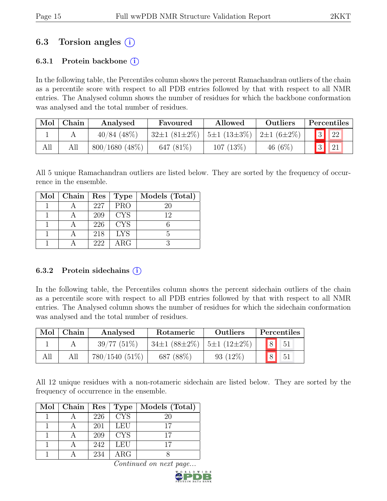# 6.3 Torsion angles  $(i)$

# 6.3.1 Protein backbone  $(i)$

In the following table, the Percentiles column shows the percent Ramachandran outliers of the chain as a percentile score with respect to all PDB entries followed by that with respect to all NMR entries. The Analysed column shows the number of residues for which the backbone conformation was analysed and the total number of residues.

| Mol | Chain | Analysed         | Favoured           | Allowed<br><b>Outliers</b>        |            |                | Percentiles |
|-----|-------|------------------|--------------------|-----------------------------------|------------|----------------|-------------|
|     |       | $40/84$ (48%)    | $32\pm1(81\pm2\%)$ | $ 5\pm1(13\pm3\%) 2\pm1(6\pm2\%)$ |            | $\overline{3}$ | 22          |
| All |       | $800/1680$ (48%) | 647 $(81\%)$       | 107(13%)                          | 46 $(6\%)$ | 3 <sup>1</sup> | 21          |

All 5 unique Ramachandran outliers are listed below. They are sorted by the frequency of occurrence in the ensemble.

| Mol   Chain   Res   Type |     |            | Models (Total) |
|--------------------------|-----|------------|----------------|
|                          | 227 | <b>PRO</b> | 20             |
|                          | 209 | <b>CYS</b> | 12             |
|                          | 226 | <b>CYS</b> |                |
|                          | 218 | <b>LYS</b> |                |
|                          | 222 | ARG        |                |

#### 6.3.2 Protein sidechains  $(i)$

In the following table, the Percentiles column shows the percent sidechain outliers of the chain as a percentile score with respect to all PDB entries followed by that with respect to all NMR entries. The Analysed column shows the number of residues for which the sidechain conformation was analysed and the total number of residues.

| Mol | Chain | Analysed         | Rotameric                                         | Outliers    | Percentiles                                                  |
|-----|-------|------------------|---------------------------------------------------|-------------|--------------------------------------------------------------|
|     |       | $39/77(51\%)$    | $34\pm1$ (88 $\pm2\%$ )   5 $\pm1$ (12 $\pm2\%$ ) |             | $\begin{array}{ c c c } \hline 8 & 51 \\ \hline \end{array}$ |
| All | All   | $780/1540(51\%)$ | 687 (88%)                                         | 93 $(12\%)$ | 8 <sup>1</sup><br>$-51$                                      |

All 12 unique residues with a non-rotameric sidechain are listed below. They are sorted by the frequency of occurrence in the ensemble.

| $Mol$   Chain | $\mathrm{Res}^+$ | Type       | Models (Total) |
|---------------|------------------|------------|----------------|
|               | 226              | <b>CYS</b> | 20             |
|               | 201              | <b>LEU</b> | 17             |
|               | 209              | <b>CYS</b> |                |
|               | 242              | LEU        |                |
|               | 234              | $\rm{ARG}$ |                |

Continued on next page.

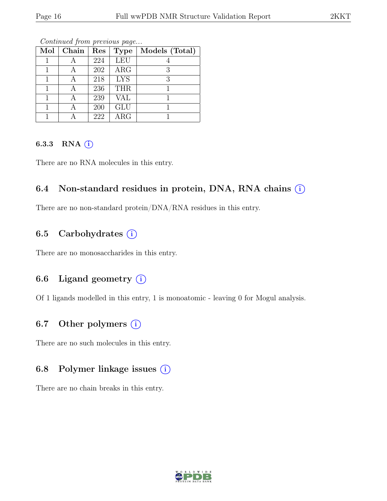| Mol | Chain | Res | <b>Type</b> | Models (Total) |
|-----|-------|-----|-------------|----------------|
|     |       | 224 | <b>LEU</b>  |                |
|     |       | 202 | ARG         | 3              |
|     |       | 218 | <b>LYS</b>  | 3              |
|     |       | 236 | <b>THR</b>  |                |
|     |       | 239 | VAL         |                |
|     |       | 200 | <b>GLU</b>  |                |
|     |       | 222 | $\rm{ARG}$  |                |

Continued from previous page...

#### 6.3.3 RNA  $(i)$

There are no RNA molecules in this entry.

# 6.4 Non-standard residues in protein, DNA, RNA chains  $(i)$

There are no non-standard protein/DNA/RNA residues in this entry.

# 6.5 Carbohydrates  $(i)$

There are no monosaccharides in this entry.

# 6.6 Ligand geometry  $(i)$

Of 1 ligands modelled in this entry, 1 is monoatomic - leaving 0 for Mogul analysis.

# 6.7 Other polymers  $(i)$

There are no such molecules in this entry.

## 6.8 Polymer linkage issues  $(i)$

There are no chain breaks in this entry.